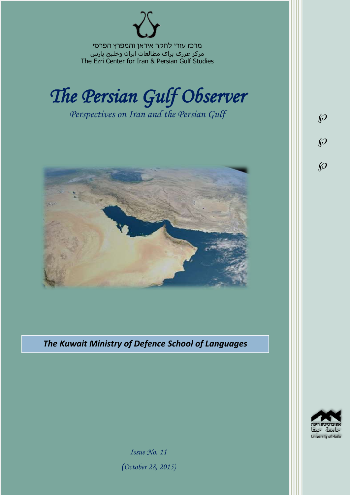מרכז עזרי לחקר איראן והמפרץ הפרסי مرکز عزری برای مطالعات ایران وخلیج پارس The Ezri Center for Iran & Persian Gulf Studies



*Perspectives on Iran and the Persian Gulf* 



*The Kuwait Ministry of Defence School of Languages*



 $\wp$ 

 $\wp$ 

 $\wp$ 

*Issue No. 11 )October 28, 2015)*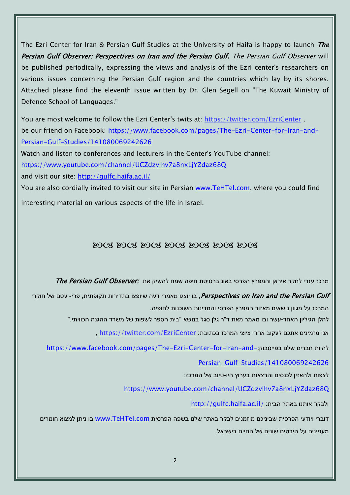The Ezri Center for Iran & Persian Gulf Studies at the University of Haifa is happy to launch The Persian Gulf Observer: Perspectives on Iran and the Persian Gulf. The Persian Gulf Observer will be published periodically, expressing the views and analysis of the Ezri center's researchers on various issues concerning the Persian Gulf region and the countries which lay by its shores. Attached please find the eleventh issue written by Dr. Glen Segell on "The Kuwait Ministry of Defence School of Languages."

You are most welcome to follow the Ezri Center's twits at: <https://twitter.com/EzriCenter> , be our friend on Facebook: [https://www.facebook.com/pages/The-Ezri-Center-for-Iran-and-](https://www.facebook.com/pages/The-Ezri-Center-for-Iran-and-Persian-Gulf-Studies/141080069242626)[Persian-Gulf-Studies/141080069242626](https://www.facebook.com/pages/The-Ezri-Center-for-Iran-and-Persian-Gulf-Studies/141080069242626)

Watch and listen to conferences and lecturers in the Center's YouTube channel:

<https://www.youtube.com/channel/UCZdzvlhv7a8nxLjYZdaz68Q>

and visit our site:<http://gulfc.haifa.ac.il/>

You are also cordially invited to visit our site in Persian [www.TeHTel.com,](http://www.tehtel.com/) where you could find interesting material on various aspects of the life in Israel.

## DOG DOG DOG DOG DOG DOG DOG

תרכז עזרי לחקר איראן והמפרץ הפרסי באוניברסיטת חיפה שמח להשיק את :*The Persian Gulf Observer* 

Perspectives on Iran and the Persian Gulf, בו יוצגו מאמרי דעה שיופצו בתדירות תקופתית, פרי- עטם של חוקרי המרכז על מגוון נושאים מאזור המפרץ הפרסי והמדינות השוכנות לחופיה.

להלן הגיליון האחד-עשר ובו מאמר מאת ד"ר גלן סגל בנושא "בית הספר לשפות של משרד ההגנה הכוויתי."

אנו מזמינים אתכם לעקוב אחרי ציוצי המרכז בכתובת: [EzriCenter/com.twitter://https](https://twitter.com/EzriCenter) ,

[https://www.facebook.com/pages/The-Ezri-Center-for-Iran-and-](https://www.facebook.com/pages/The-Ezri-Center-for-Iran-and-Persian-Gulf-Studies/141080069242626):כהיות חברים שלנו בפייסבוק

[Persian-Gulf-Studies/141080069242626](https://www.facebook.com/pages/The-Ezri-Center-for-Iran-and-Persian-Gulf-Studies/141080069242626)

לצפות ולהאזין לכנסים והרצאות בערוץ היו-טיוב של המרכז:

<https://www.youtube.com/channel/UCZdzvlhv7a8nxLjYZdaz68Q>

<http://gulfc.haifa.ac.il/> ולבקר אותנו באתר הבית

דוברי ויודעי הפרסית שביניכם מוזמנים לבקר באתר שלנו בשפה הפרסית [com.TeHTel.www](http://www.tehtel.com/) בו ניתן למצוא חומרים מעניינים על היבטים שונים של החיים בישראל.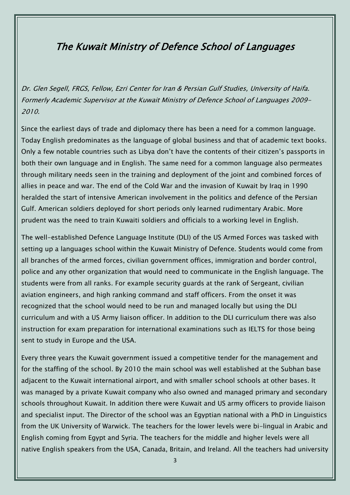## The Kuwait Ministry of Defence School of Languages

Dr. Glen Segell, FRGS, Fellow, Ezri Center for Iran & Persian Gulf Studies, University of Haifa. Formerly Academic Supervisor at the Kuwait Ministry of Defence School of Languages 2009- 2010.

Since the earliest days of trade and diplomacy there has been a need for a common language. Today English predominates as the language of global business and that of academic text books. Only a few notable countries such as Libya don't have the contents of their citizen's passports in both their own language and in English. The same need for a common language also permeates through military needs seen in the training and deployment of the joint and combined forces of allies in peace and war. The end of the Cold War and the invasion of Kuwait by Iraq in 1990 heralded the start of intensive American involvement in the politics and defence of the Persian Gulf. American soldiers deployed for short periods only learned rudimentary Arabic. More prudent was the need to train Kuwaiti soldiers and officials to a working level in English.

The well-established Defence Language Institute (DLI) of the US Armed Forces was tasked with setting up a languages school within the Kuwait Ministry of Defence. Students would come from all branches of the armed forces, civilian government offices, immigration and border control, police and any other organization that would need to communicate in the English language. The students were from all ranks. For example security guards at the rank of Sergeant, civilian aviation engineers, and high ranking command and staff officers. From the onset it was recognized that the school would need to be run and managed locally but using the DLI curriculum and with a US Army liaison officer. In addition to the DLI curriculum there was also instruction for exam preparation for international examinations such as IELTS for those being sent to study in Europe and the USA.

Every three years the Kuwait government issued a competitive tender for the management and for the staffing of the school. By 2010 the main school was well established at the Subhan base adjacent to the Kuwait international airport, and with smaller school schools at other bases. It was managed by a private Kuwait company who also owned and managed primary and secondary schools throughout Kuwait. In addition there were Kuwait and US army officers to provide liaison and specialist input. The Director of the school was an Egyptian national with a PhD in Linguistics from the UK University of Warwick. The teachers for the lower levels were bi-lingual in Arabic and English coming from Egypt and Syria. The teachers for the middle and higher levels were all native English speakers from the USA, Canada, Britain, and Ireland. All the teachers had university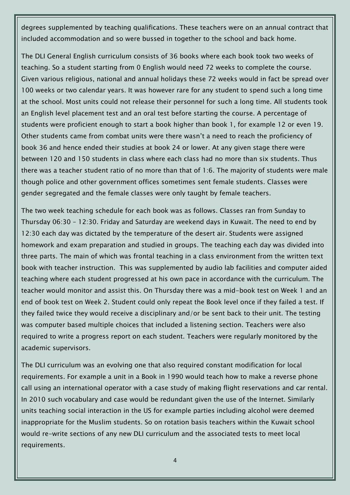degrees supplemented by teaching qualifications. These teachers were on an annual contract that included accommodation and so were bussed in together to the school and back home.

The DLI General English curriculum consists of 36 books where each book took two weeks of teaching. So a student starting from 0 English would need 72 weeks to complete the course. Given various religious, national and annual holidays these 72 weeks would in fact be spread over 100 weeks or two calendar years. It was however rare for any student to spend such a long time at the school. Most units could not release their personnel for such a long time. All students took an English level placement test and an oral test before starting the course. A percentage of students were proficient enough to start a book higher than book 1, for example 12 or even 19. Other students came from combat units were there wasn't a need to reach the proficiency of book 36 and hence ended their studies at book 24 or lower. At any given stage there were between 120 and 150 students in class where each class had no more than six students. Thus there was a teacher student ratio of no more than that of 1:6. The majority of students were male though police and other government offices sometimes sent female students. Classes were gender segregated and the female classes were only taught by female teachers.

The two week teaching schedule for each book was as follows. Classes ran from Sunday to Thursday 06:30 – 12:30. Friday and Saturday are weekend days in Kuwait. The need to end by 12:30 each day was dictated by the temperature of the desert air. Students were assigned homework and exam preparation and studied in groups. The teaching each day was divided into three parts. The main of which was frontal teaching in a class environment from the written text book with teacher instruction. This was supplemented by audio lab facilities and computer aided teaching where each student progressed at his own pace in accordance with the curriculum. The teacher would monitor and assist this. On Thursday there was a mid-book test on Week 1 and an end of book test on Week 2. Student could only repeat the Book level once if they failed a test. If they failed twice they would receive a disciplinary and/or be sent back to their unit. The testing was computer based multiple choices that included a listening section. Teachers were also required to write a progress report on each student. Teachers were regularly monitored by the academic supervisors.

The DLI curriculum was an evolving one that also required constant modification for local requirements. For example a unit in a Book in 1990 would teach how to make a reverse phone call using an international operator with a case study of making flight reservations and car rental. In 2010 such vocabulary and case would be redundant given the use of the Internet. Similarly units teaching social interaction in the US for example parties including alcohol were deemed inappropriate for the Muslim students. So on rotation basis teachers within the Kuwait school would re-write sections of any new DLI curriculum and the associated tests to meet local requirements.

4